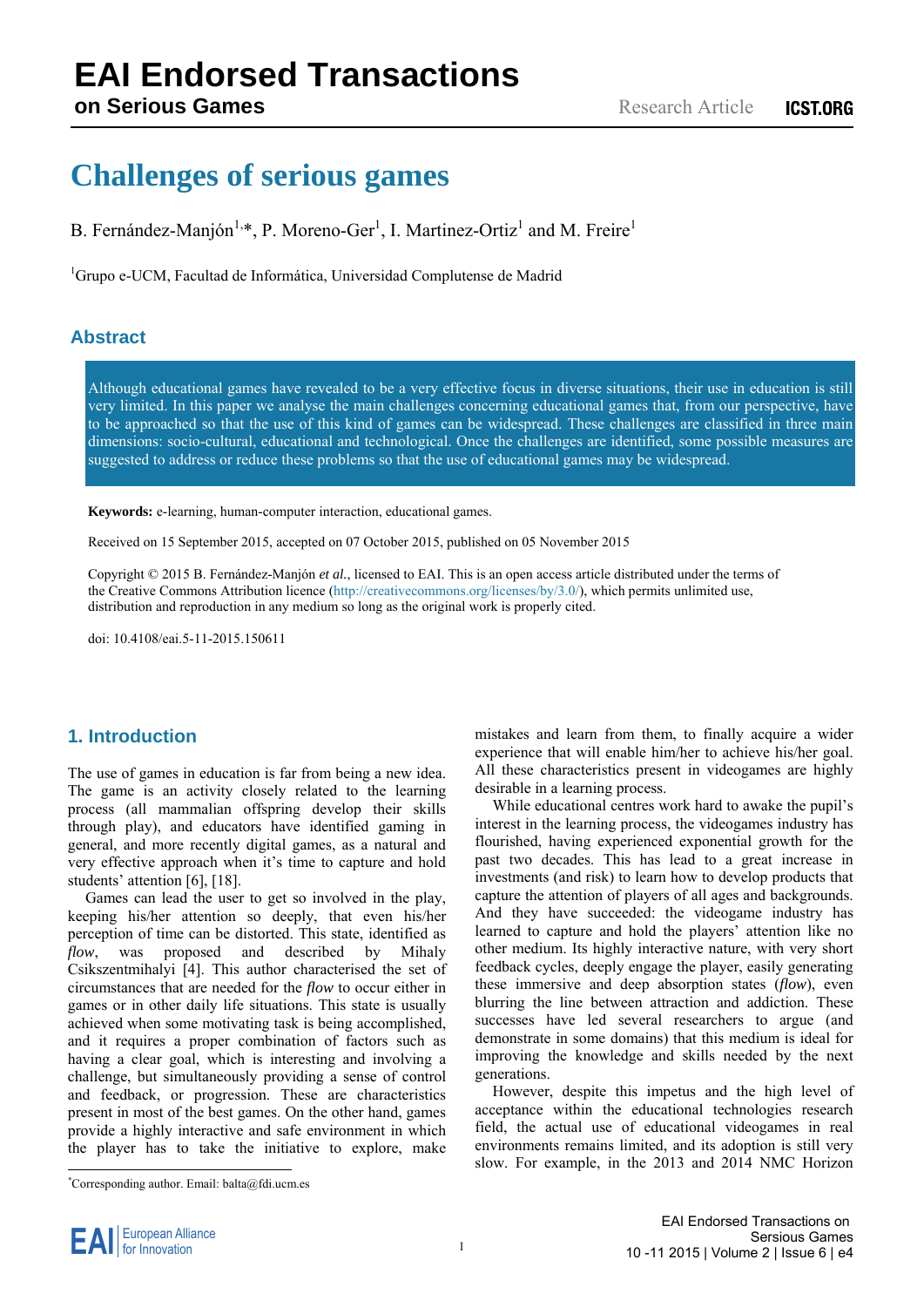# **EAI Endorsed Transactions**

**on Serious Games**

## **Challenges of serious games**

B. Fernández-Manjón<sup>1,\*</sup>, P. Moreno-Ger<sup>1</sup>, I. Martinez-Ortiz<sup>1</sup> and M. Freire<sup>1</sup>

<sup>1</sup>Grupo e-UCM, Facultad de Informática, Universidad Complutense de Madrid

#### **Abstract**

Although educational games have revealed to be a very effective focus in diverse situations, their use in education is still very limited. In this paper we analyse the main challenges concerning educational games that, from our perspective, have to be approached so that the use of this kind of games can be widespread. These challenges are classified in three main dimensions: socio-cultural, educational and technological. Once the challenges are identified, some possible measures are suggested to address or reduce these problems so that the use of educational games may be widespread.

**Keywords:** e-learning, human-computer interaction, educational games.

Received on 15 September 2015, accepted on 07 October 2015, published on 05 November 2015

Copyright © 2015 B. Fernández-Manjón *et al.*, licensed to EAI. This is an open access article distributed under the terms of the Creative Commons Attribution licence (http://creativecommons.org/licenses/by/3.0/), which permits unlimited use, distribution and reproduction in any medium so long as the original work is properly cited.

doi: 10.4108/eai.5-11-2015.150611

#### **1. Introduction**

The use of games in education is far from being a new idea. The game is an activity closely related to the learning process (all mammalian offspring develop their skills through play), and educators have identified gaming in general, and more recently digital games, as a natural and very effective approach when it's time to capture and hold students' attention [6], [18].

Games can lead the user to get so involved in the play, keeping his/her attention so deeply, that even his/her perception of time can be distorted. This state, identified as *flow*, was proposed and described by Mihaly Csikszentmihalyi [4]. This author characterised the set of circumstances that are needed for the *flow* to occur either in games or in other daily life situations. This state is usually achieved when some motivating task is being accomplished, and it requires a proper combination of factors such as having a clear goal, which is interesting and involving a challenge, but simultaneously providing a sense of control and feedback, or progression. These are characteristics present in most of the best games. On the other hand, games provide a highly interactive and safe environment in which the player has to take the initiative to explore, make

\* Corresponding author. Email: balta@fdi.ucm.es

mistakes and learn from them, to finally acquire a wider experience that will enable him/her to achieve his/her goal. All these characteristics present in videogames are highly desirable in a learning process.

While educational centres work hard to awake the pupil's interest in the learning process, the videogames industry has flourished, having experienced exponential growth for the past two decades. This has lead to a great increase in investments (and risk) to learn how to develop products that capture the attention of players of all ages and backgrounds. And they have succeeded: the videogame industry has learned to capture and hold the players' attention like no other medium. Its highly interactive nature, with very short feedback cycles, deeply engage the player, easily generating these immersive and deep absorption states (*flow*), even blurring the line between attraction and addiction. These successes have led several researchers to argue (and demonstrate in some domains) that this medium is ideal for improving the knowledge and skills needed by the next generations.

However, despite this impetus and the high level of acceptance within the educational technologies research field, the actual use of educational videogames in real environments remains limited, and its adoption is still very slow. For example, in the 2013 and 2014 NMC Horizon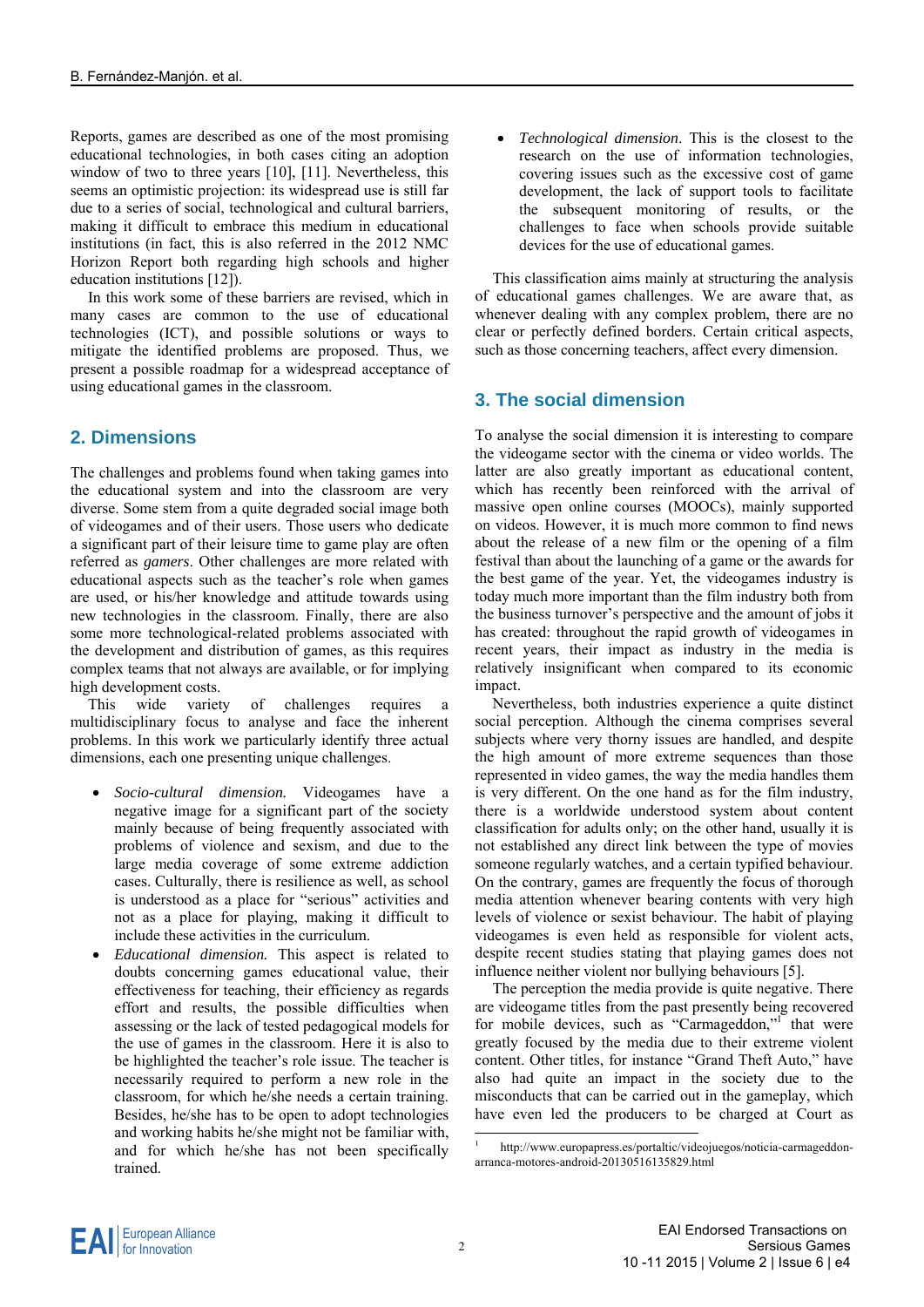Reports, games are described as one of the most promising educational technologies, in both cases citing an adoption window of two to three years [10], [11]. Nevertheless, this seems an optimistic projection: its widespread use is still far due to a series of social, technological and cultural barriers, making it difficult to embrace this medium in educational institutions (in fact, this is also referred in the 2012 NMC Horizon Report both regarding high schools and higher education institutions [12]).

In this work some of these barriers are revised, which in many cases are common to the use of educational technologies (ICT), and possible solutions or ways to mitigate the identified problems are proposed. Thus, we present a possible roadmap for a widespread acceptance of using educational games in the classroom.

#### **2. Dimensions**

The challenges and problems found when taking games into the educational system and into the classroom are very diverse. Some stem from a quite degraded social image both of videogames and of their users. Those users who dedicate a significant part of their leisure time to game play are often referred as *gamers*. Other challenges are more related with educational aspects such as the teacher's role when games are used, or his/her knowledge and attitude towards using new technologies in the classroom. Finally, there are also some more technological-related problems associated with the development and distribution of games, as this requires complex teams that not always are available, or for implying high development costs.

This wide variety of challenges requires multidisciplinary focus to analyse and face the inherent problems. In this work we particularly identify three actual dimensions, each one presenting unique challenges.

- *Socio-cultural dimension.* Videogames have a negative image for a significant part of the society mainly because of being frequently associated with problems of violence and sexism, and due to the large media coverage of some extreme addiction cases. Culturally, there is resilience as well, as school is understood as a place for "serious" activities and not as a place for playing, making it difficult to include these activities in the curriculum.
- *Educational dimension.* This aspect is related to doubts concerning games educational value, their effectiveness for teaching, their efficiency as regards effort and results, the possible difficulties when assessing or the lack of tested pedagogical models for the use of games in the classroom. Here it is also to be highlighted the teacher's role issue. The teacher is necessarily required to perform a new role in the classroom, for which he/she needs a certain training. Besides, he/she has to be open to adopt technologies and working habits he/she might not be familiar with, and for which he/she has not been specifically trained.

 *Technological dimension*. This is the closest to the research on the use of information technologies, covering issues such as the excessive cost of game development, the lack of support tools to facilitate the subsequent monitoring of results, or the challenges to face when schools provide suitable devices for the use of educational games.

This classification aims mainly at structuring the analysis of educational games challenges. We are aware that, as whenever dealing with any complex problem, there are no clear or perfectly defined borders. Certain critical aspects, such as those concerning teachers, affect every dimension.

### **3. The social dimension**

To analyse the social dimension it is interesting to compare the videogame sector with the cinema or video worlds. The latter are also greatly important as educational content, which has recently been reinforced with the arrival of massive open online courses (MOOCs), mainly supported on videos. However, it is much more common to find news about the release of a new film or the opening of a film festival than about the launching of a game or the awards for the best game of the year. Yet, the videogames industry is today much more important than the film industry both from the business turnover's perspective and the amount of jobs it has created: throughout the rapid growth of videogames in recent years, their impact as industry in the media is relatively insignificant when compared to its economic impact.

Nevertheless, both industries experience a quite distinct social perception. Although the cinema comprises several subjects where very thorny issues are handled, and despite the high amount of more extreme sequences than those represented in video games, the way the media handles them is very different. On the one hand as for the film industry, there is a worldwide understood system about content classification for adults only; on the other hand, usually it is not established any direct link between the type of movies someone regularly watches, and a certain typified behaviour. On the contrary, games are frequently the focus of thorough media attention whenever bearing contents with very high levels of violence or sexist behaviour. The habit of playing videogames is even held as responsible for violent acts, despite recent studies stating that playing games does not influence neither violent nor bullying behaviours [5].

The perception the media provide is quite negative. There are videogame titles from the past presently being recovered for mobile devices, such as "Carmageddon,"<sup>1</sup> that were greatly focused by the media due to their extreme violent content. Other titles, for instance "Grand Theft Auto," have also had quite an impact in the society due to the misconducts that can be carried out in the gameplay, which have even led the producers to be charged at Court as

<sup>1</sup> http://www.europapress.es/portaltic/videojuegos/noticia-carmageddonarranca-motores-android-20130516135829.html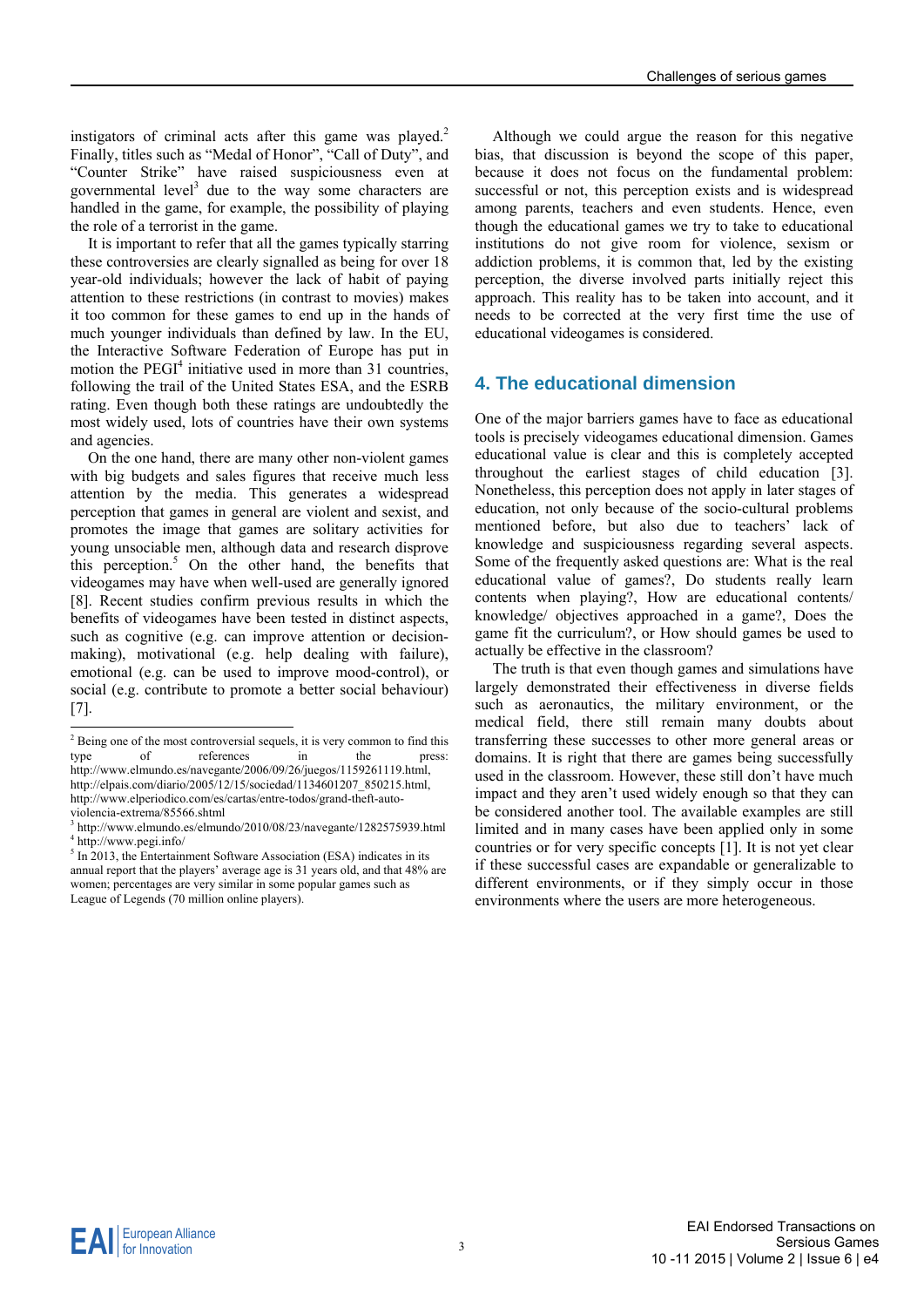instigators of criminal acts after this game was played.<sup>2</sup> Finally, titles such as "Medal of Honor", "Call of Duty", and "Counter Strike" have raised suspiciousness even at governmental level<sup>3</sup> due to the way some characters are handled in the game, for example, the possibility of playing the role of a terrorist in the game.

It is important to refer that all the games typically starring these controversies are clearly signalled as being for over 18 year-old individuals; however the lack of habit of paying attention to these restrictions (in contrast to movies) makes it too common for these games to end up in the hands of much younger individuals than defined by law. In the EU, the Interactive Software Federation of Europe has put in motion the  $PEGI<sup>4</sup>$  initiative used in more than 31 countries, following the trail of the United States ESA, and the ESRB rating. Even though both these ratings are undoubtedly the most widely used, lots of countries have their own systems and agencies.

On the one hand, there are many other non-violent games with big budgets and sales figures that receive much less attention by the media. This generates a widespread perception that games in general are violent and sexist, and promotes the image that games are solitary activities for young unsociable men, although data and research disprove this perception.<sup>5</sup> On the other hand, the benefits that videogames may have when well-used are generally ignored [8]. Recent studies confirm previous results in which the benefits of videogames have been tested in distinct aspects, such as cognitive (e.g. can improve attention or decisionmaking), motivational (e.g. help dealing with failure), emotional (e.g. can be used to improve mood-control), or social (e.g. contribute to promote a better social behaviour) [7].

Although we could argue the reason for this negative bias, that discussion is beyond the scope of this paper, because it does not focus on the fundamental problem: successful or not, this perception exists and is widespread among parents, teachers and even students. Hence, even though the educational games we try to take to educational institutions do not give room for violence, sexism or addiction problems, it is common that, led by the existing perception, the diverse involved parts initially reject this approach. This reality has to be taken into account, and it needs to be corrected at the very first time the use of educational videogames is considered.

#### **4. The educational dimension**

One of the major barriers games have to face as educational tools is precisely videogames educational dimension. Games educational value is clear and this is completely accepted throughout the earliest stages of child education [3]. Nonetheless, this perception does not apply in later stages of education, not only because of the socio-cultural problems mentioned before, but also due to teachers' lack of knowledge and suspiciousness regarding several aspects. Some of the frequently asked questions are: What is the real educational value of games?, Do students really learn contents when playing?, How are educational contents/ knowledge/ objectives approached in a game?, Does the game fit the curriculum?, or How should games be used to actually be effective in the classroom?

The truth is that even though games and simulations have largely demonstrated their effectiveness in diverse fields such as aeronautics, the military environment, or the medical field, there still remain many doubts about transferring these successes to other more general areas or domains. It is right that there are games being successfully used in the classroom. However, these still don't have much impact and they aren't used widely enough so that they can be considered another tool. The available examples are still limited and in many cases have been applied only in some countries or for very specific concepts [1]. It is not yet clear if these successful cases are expandable or generalizable to different environments, or if they simply occur in those environments where the users are more heterogeneous.

<sup>&</sup>lt;sup>2</sup> Being one of the most controversial sequels, it is very common to find this type of references in the press: http://www.elmundo.es/navegante/2006/09/26/juegos/1159261119.html, http://elpais.com/diario/2005/12/15/sociedad/1134601207\_850215.html, http://www.elperiodico.com/es/cartas/entre-todos/grand-theft-autoviolencia-extrema/85566.shtml

 $^3$  http://www.elmundo.es/elmundo/2010/08/23/navegante/1282575939.html<br> $^4$  http://www.posi.info/ http://www.pegi.info/

 $<sup>5</sup>$  In 2013, the Entertainment Software Association (ESA) indicates in its</sup> annual report that the players' average age is 31 years old, and that 48% are women; percentages are very similar in some popular games such as League of Legends (70 million online players).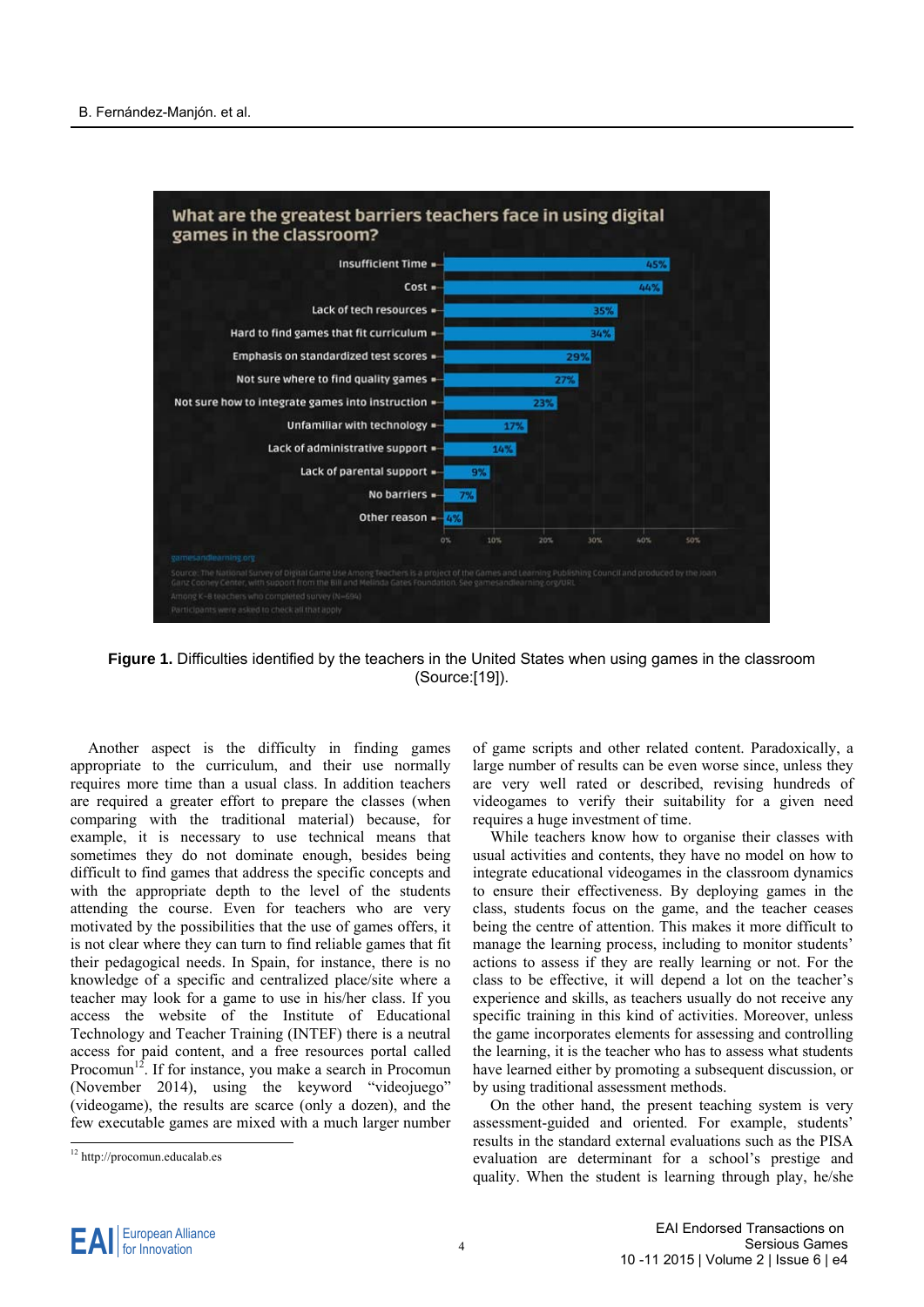

**Figure 1.** Difficulties identified by the teachers in the United States when using games in the classroom (Source:[19]).

Another aspect is the difficulty in finding games appropriate to the curriculum, and their use normally requires more time than a usual class. In addition teachers are required a greater effort to prepare the classes (when comparing with the traditional material) because, for example, it is necessary to use technical means that sometimes they do not dominate enough, besides being difficult to find games that address the specific concepts and with the appropriate depth to the level of the students attending the course. Even for teachers who are very motivated by the possibilities that the use of games offers, it is not clear where they can turn to find reliable games that fit their pedagogical needs. In Spain, for instance, there is no knowledge of a specific and centralized place/site where a teacher may look for a game to use in his/her class. If you access the website of the Institute of Educational Technology and Teacher Training (INTEF) there is a neutral access for paid content, and a free resources portal called Procomun<sup>12</sup>. If for instance, you make a search in Procomun (November 2014), using the keyword "videojuego" (videogame), the results are scarce (only a dozen), and the few executable games are mixed with a much larger number

of game scripts and other related content. Paradoxically, a large number of results can be even worse since, unless they are very well rated or described, revising hundreds of videogames to verify their suitability for a given need requires a huge investment of time.

While teachers know how to organise their classes with usual activities and contents, they have no model on how to integrate educational videogames in the classroom dynamics to ensure their effectiveness. By deploying games in the class, students focus on the game, and the teacher ceases being the centre of attention. This makes it more difficult to manage the learning process, including to monitor students' actions to assess if they are really learning or not. For the class to be effective, it will depend a lot on the teacher's experience and skills, as teachers usually do not receive any specific training in this kind of activities. Moreover, unless the game incorporates elements for assessing and controlling the learning, it is the teacher who has to assess what students have learned either by promoting a subsequent discussion, or by using traditional assessment methods.

On the other hand, the present teaching system is very assessment-guided and oriented. For example, students' results in the standard external evaluations such as the PISA evaluation are determinant for a school's prestige and quality. When the student is learning through play, he/she

<sup>12</sup> http://procomun.educalab.es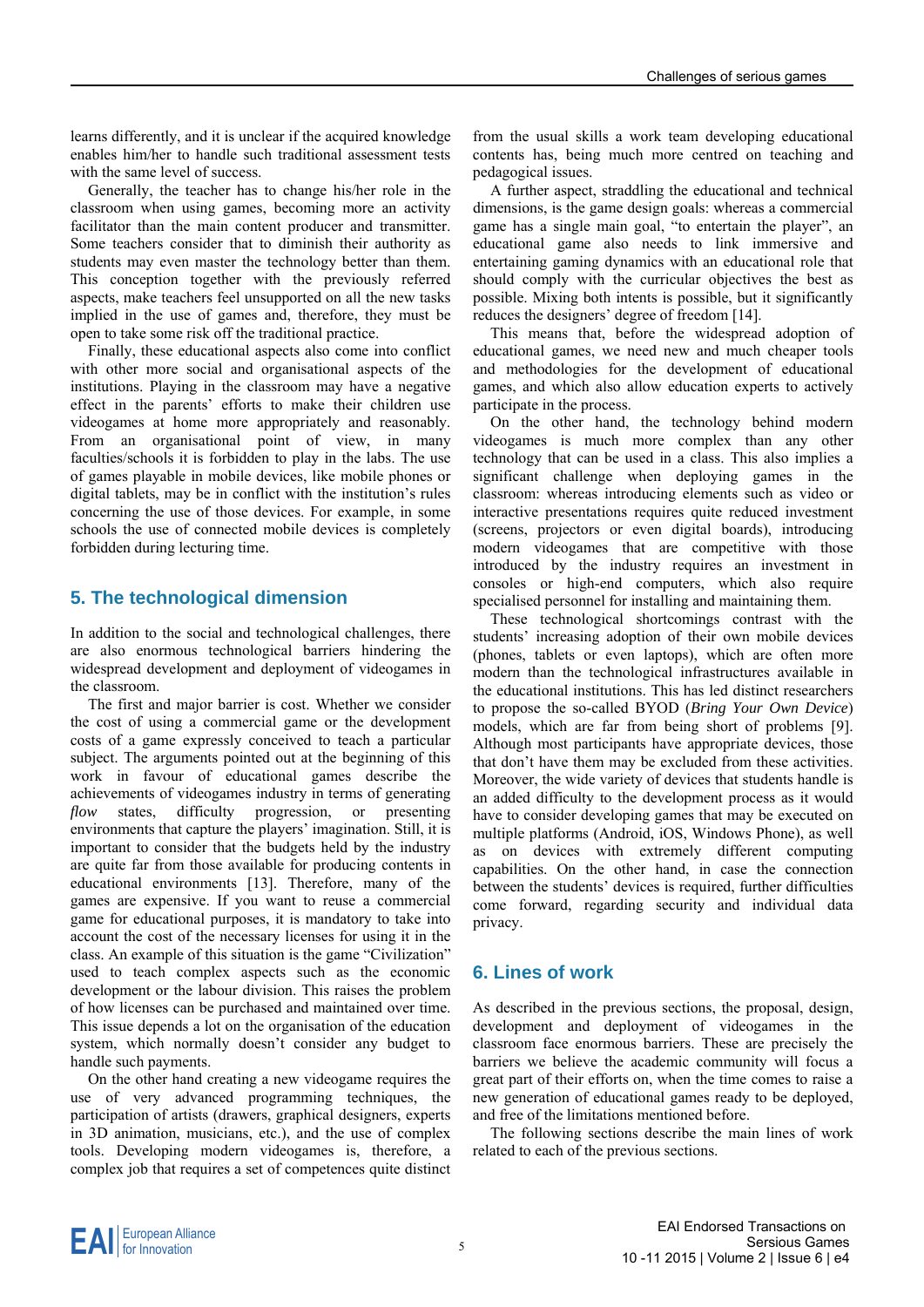learns differently, and it is unclear if the acquired knowledge enables him/her to handle such traditional assessment tests with the same level of success.

Generally, the teacher has to change his/her role in the classroom when using games, becoming more an activity facilitator than the main content producer and transmitter. Some teachers consider that to diminish their authority as students may even master the technology better than them. This conception together with the previously referred aspects, make teachers feel unsupported on all the new tasks implied in the use of games and, therefore, they must be open to take some risk off the traditional practice.

Finally, these educational aspects also come into conflict with other more social and organisational aspects of the institutions. Playing in the classroom may have a negative effect in the parents' efforts to make their children use videogames at home more appropriately and reasonably. From an organisational point of view, in many faculties/schools it is forbidden to play in the labs. The use of games playable in mobile devices, like mobile phones or digital tablets, may be in conflict with the institution's rules concerning the use of those devices. For example, in some schools the use of connected mobile devices is completely forbidden during lecturing time.

#### **5. The technological dimension**

In addition to the social and technological challenges, there are also enormous technological barriers hindering the widespread development and deployment of videogames in the classroom.

The first and major barrier is cost. Whether we consider the cost of using a commercial game or the development costs of a game expressly conceived to teach a particular subject. The arguments pointed out at the beginning of this work in favour of educational games describe the achievements of videogames industry in terms of generating *flow* states, difficulty progression, or presenting environments that capture the players' imagination. Still, it is important to consider that the budgets held by the industry are quite far from those available for producing contents in educational environments [13]. Therefore, many of the games are expensive. If you want to reuse a commercial game for educational purposes, it is mandatory to take into account the cost of the necessary licenses for using it in the class. An example of this situation is the game "Civilization" used to teach complex aspects such as the economic development or the labour division. This raises the problem of how licenses can be purchased and maintained over time. This issue depends a lot on the organisation of the education system, which normally doesn't consider any budget to handle such payments.

On the other hand creating a new videogame requires the use of very advanced programming techniques, the participation of artists (drawers, graphical designers, experts in 3D animation, musicians, etc.), and the use of complex tools. Developing modern videogames is, therefore, a complex job that requires a set of competences quite distinct

from the usual skills a work team developing educational contents has, being much more centred on teaching and pedagogical issues.

A further aspect, straddling the educational and technical dimensions, is the game design goals: whereas a commercial game has a single main goal, "to entertain the player", an educational game also needs to link immersive and entertaining gaming dynamics with an educational role that should comply with the curricular objectives the best as possible. Mixing both intents is possible, but it significantly reduces the designers' degree of freedom [14].

This means that, before the widespread adoption of educational games, we need new and much cheaper tools and methodologies for the development of educational games, and which also allow education experts to actively participate in the process.

On the other hand, the technology behind modern videogames is much more complex than any other technology that can be used in a class. This also implies a significant challenge when deploying games in the classroom: whereas introducing elements such as video or interactive presentations requires quite reduced investment (screens, projectors or even digital boards), introducing modern videogames that are competitive with those introduced by the industry requires an investment in consoles or high-end computers, which also require specialised personnel for installing and maintaining them.

These technological shortcomings contrast with the students' increasing adoption of their own mobile devices (phones, tablets or even laptops), which are often more modern than the technological infrastructures available in the educational institutions. This has led distinct researchers to propose the so-called BYOD (*Bring Your Own Device*) models, which are far from being short of problems [9]. Although most participants have appropriate devices, those that don't have them may be excluded from these activities. Moreover, the wide variety of devices that students handle is an added difficulty to the development process as it would have to consider developing games that may be executed on multiple platforms (Android, iOS, Windows Phone), as well as on devices with extremely different computing capabilities. On the other hand, in case the connection between the students' devices is required, further difficulties come forward, regarding security and individual data privacy.

#### **6. Lines of work**

As described in the previous sections, the proposal, design, development and deployment of videogames in the classroom face enormous barriers. These are precisely the barriers we believe the academic community will focus a great part of their efforts on, when the time comes to raise a new generation of educational games ready to be deployed, and free of the limitations mentioned before.

The following sections describe the main lines of work related to each of the previous sections.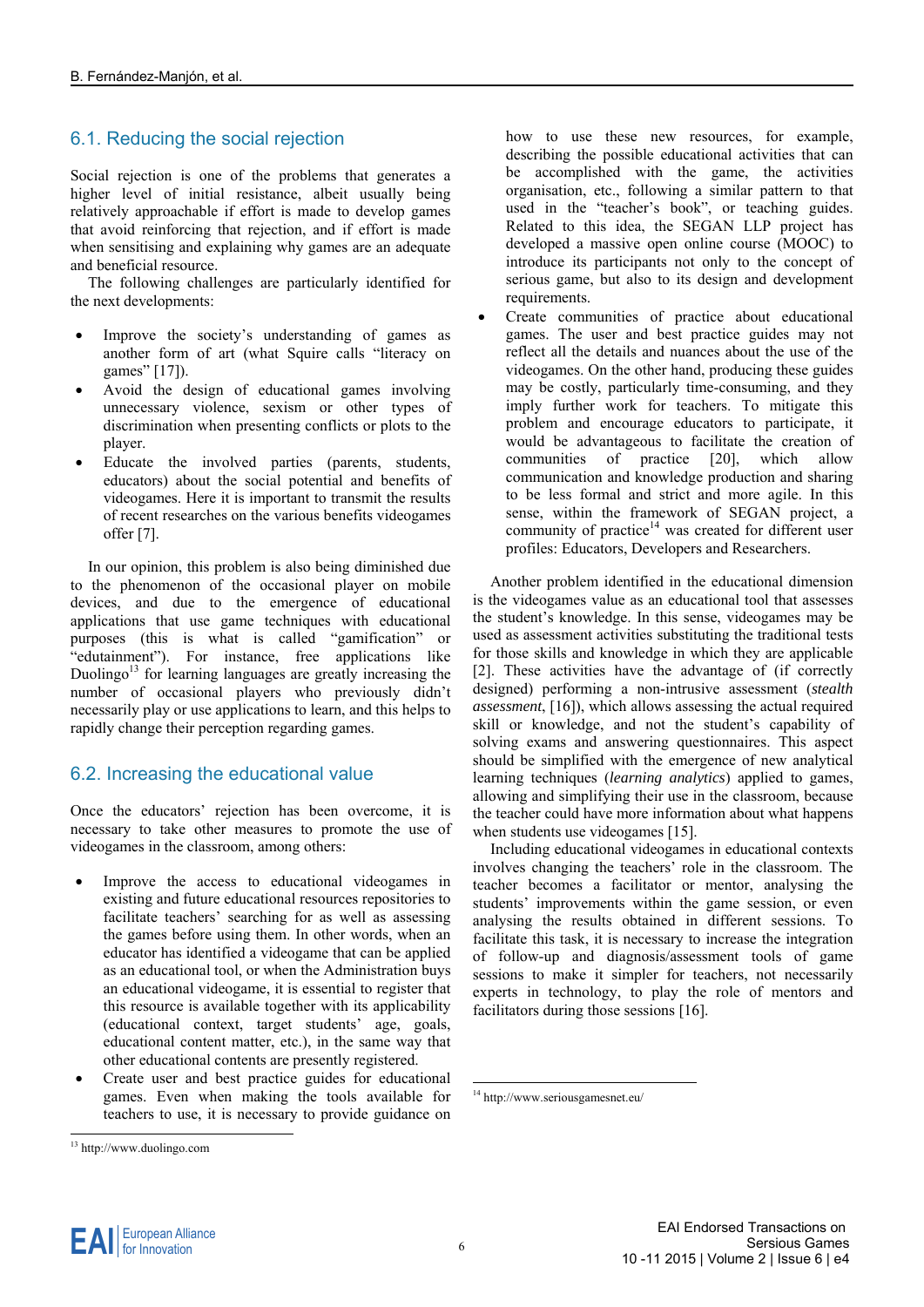### 6.1. Reducing the social rejection

Social rejection is one of the problems that generates a higher level of initial resistance, albeit usually being relatively approachable if effort is made to develop games that avoid reinforcing that rejection, and if effort is made when sensitising and explaining why games are an adequate and beneficial resource.

The following challenges are particularly identified for the next developments:

- Improve the society's understanding of games as another form of art (what Squire calls "literacy on games" [17]).
- Avoid the design of educational games involving unnecessary violence, sexism or other types of discrimination when presenting conflicts or plots to the player.
- Educate the involved parties (parents, students, educators) about the social potential and benefits of videogames. Here it is important to transmit the results of recent researches on the various benefits videogames offer [7].

In our opinion, this problem is also being diminished due to the phenomenon of the occasional player on mobile devices, and due to the emergence of educational applications that use game techniques with educational purposes (this is what is called "gamification" or "edutainment"). For instance, free applications like Duolingo<sup>13</sup> for learning languages are greatly increasing the number of occasional players who previously didn't necessarily play or use applications to learn, and this helps to rapidly change their perception regarding games.

#### 6.2. Increasing the educational value

Once the educators' rejection has been overcome, it is necessary to take other measures to promote the use of videogames in the classroom, among others:

- Improve the access to educational videogames in existing and future educational resources repositories to facilitate teachers' searching for as well as assessing the games before using them. In other words, when an educator has identified a videogame that can be applied as an educational tool, or when the Administration buys an educational videogame, it is essential to register that this resource is available together with its applicability (educational context, target students' age, goals, educational content matter, etc.), in the same way that other educational contents are presently registered.
- Create user and best practice guides for educational games. Even when making the tools available for teachers to use, it is necessary to provide guidance on

how to use these new resources, for example, describing the possible educational activities that can be accomplished with the game, the activities organisation, etc., following a similar pattern to that used in the "teacher's book", or teaching guides. Related to this idea, the SEGAN LLP project has developed a massive open online course (MOOC) to introduce its participants not only to the concept of serious game, but also to its design and development requirements.

 Create communities of practice about educational games. The user and best practice guides may not reflect all the details and nuances about the use of the videogames. On the other hand, producing these guides may be costly, particularly time-consuming, and they imply further work for teachers. To mitigate this problem and encourage educators to participate, it would be advantageous to facilitate the creation of communities of practice [20], which allow communication and knowledge production and sharing to be less formal and strict and more agile. In this sense, within the framework of SEGAN project, a community of practice $14$  was created for different user profiles: Educators, Developers and Researchers.

Another problem identified in the educational dimension is the videogames value as an educational tool that assesses the student's knowledge. In this sense, videogames may be used as assessment activities substituting the traditional tests for those skills and knowledge in which they are applicable [2]. These activities have the advantage of (if correctly designed) performing a non-intrusive assessment (*stealth assessment*, [16]), which allows assessing the actual required skill or knowledge, and not the student's capability of solving exams and answering questionnaires. This aspect should be simplified with the emergence of new analytical learning techniques (*learning analytics*) applied to games, allowing and simplifying their use in the classroom, because the teacher could have more information about what happens when students use videogames [15].

Including educational videogames in educational contexts involves changing the teachers' role in the classroom. The teacher becomes a facilitator or mentor, analysing the students' improvements within the game session, or even analysing the results obtained in different sessions. To facilitate this task, it is necessary to increase the integration of follow-up and diagnosis/assessment tools of game sessions to make it simpler for teachers, not necessarily experts in technology, to play the role of mentors and facilitators during those sessions [16].

<sup>13</sup> http://www.duolingo.com

<sup>14</sup> http://www.seriousgamesnet.eu/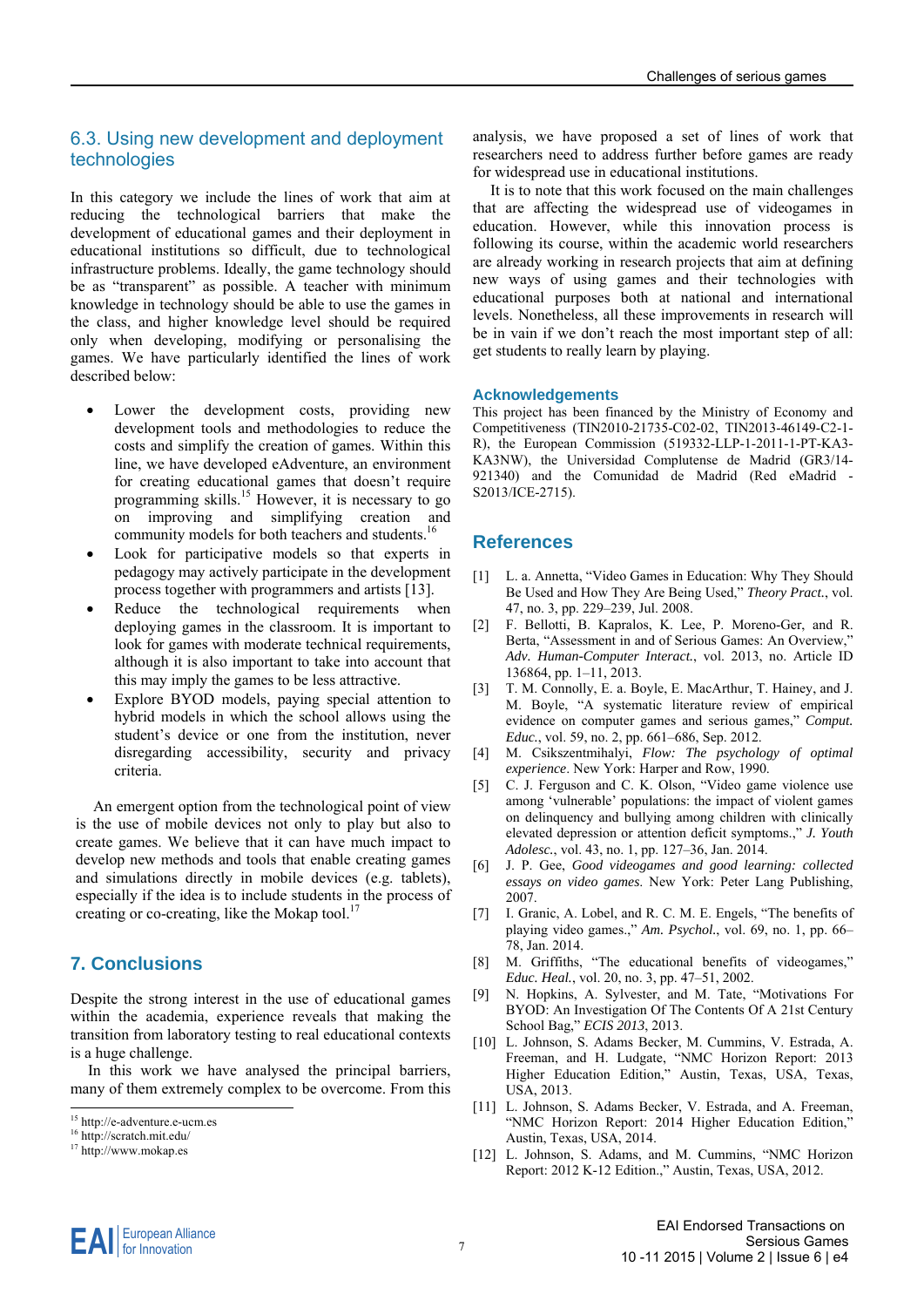#### 6.3. Using new development and deployment technologies

In this category we include the lines of work that aim at reducing the technological barriers that make the development of educational games and their deployment in educational institutions so difficult, due to technological infrastructure problems. Ideally, the game technology should be as "transparent" as possible. A teacher with minimum knowledge in technology should be able to use the games in the class, and higher knowledge level should be required only when developing, modifying or personalising the games. We have particularly identified the lines of work described below:

- Lower the development costs, providing new development tools and methodologies to reduce the costs and simplify the creation of games. Within this line, we have developed eAdventure, an environment for creating educational games that doesn't require programming skills.<sup>15</sup> However, it is necessary to go on improving and simplifying creation and community models for both teachers and students.<sup>16</sup>
- Look for participative models so that experts in pedagogy may actively participate in the development process together with programmers and artists [13].
- Reduce the technological requirements when deploying games in the classroom. It is important to look for games with moderate technical requirements, although it is also important to take into account that this may imply the games to be less attractive.
- Explore BYOD models, paying special attention to hybrid models in which the school allows using the student's device or one from the institution, never disregarding accessibility, security and privacy criteria.

An emergent option from the technological point of view is the use of mobile devices not only to play but also to create games. We believe that it can have much impact to develop new methods and tools that enable creating games and simulations directly in mobile devices (e.g. tablets), especially if the idea is to include students in the process of creating or co-creating, like the Mokap tool.<sup>17</sup>

#### **7. Conclusions**

Despite the strong interest in the use of educational games within the academia, experience reveals that making the transition from laboratory testing to real educational contexts is a huge challenge.

In this work we have analysed the principal barriers, many of them extremely complex to be overcome. From this

analysis, we have proposed a set of lines of work that researchers need to address further before games are ready for widespread use in educational institutions.

It is to note that this work focused on the main challenges that are affecting the widespread use of videogames in education. However, while this innovation process is following its course, within the academic world researchers are already working in research projects that aim at defining new ways of using games and their technologies with educational purposes both at national and international levels. Nonetheless, all these improvements in research will be in vain if we don't reach the most important step of all: get students to really learn by playing.

#### **Acknowledgements**

This project has been financed by the Ministry of Economy and Competitiveness (TIN2010-21735-C02-02, TIN2013-46149-C2-1- R), the European Commission (519332-LLP-1-2011-1-PT-KA3- KA3NW), the Universidad Complutense de Madrid (GR3/14- 921340) and the Comunidad de Madrid (Red eMadrid - S2013/ICE-2715).

#### **References**

- [1] L. a. Annetta, "Video Games in Education: Why They Should Be Used and How They Are Being Used," *Theory Pract.*, vol. 47, no. 3, pp. 229–239, Jul. 2008.
- [2] F. Bellotti, B. Kapralos, K. Lee, P. Moreno-Ger, and R. Berta, "Assessment in and of Serious Games: An Overview," *Adv. Human-Computer Interact.*, vol. 2013, no. Article ID 136864, pp. 1–11, 2013.
- [3] T. M. Connolly, E. a. Boyle, E. MacArthur, T. Hainey, and J. M. Boyle, "A systematic literature review of empirical evidence on computer games and serious games," *Comput. Educ.*, vol. 59, no. 2, pp. 661–686, Sep. 2012.
- [4] M. Csikszentmihalyi, *Flow: The psychology of optimal experience*. New York: Harper and Row, 1990.
- [5] C. J. Ferguson and C. K. Olson, "Video game violence use among 'vulnerable' populations: the impact of violent games on delinquency and bullying among children with clinically elevated depression or attention deficit symptoms.," *J. Youth Adolesc.*, vol. 43, no. 1, pp. 127–36, Jan. 2014.
- [6] J. P. Gee, *Good videogames and good learning: collected essays on video games*. New York: Peter Lang Publishing, 2007.
- [7] I. Granic, A. Lobel, and R. C. M. E. Engels, "The benefits of playing video games.," *Am. Psychol.*, vol. 69, no. 1, pp. 66– 78, Jan. 2014.
- [8] M. Griffiths, "The educational benefits of videogames," *Educ. Heal.*, vol. 20, no. 3, pp. 47–51, 2002.
- [9] N. Hopkins, A. Sylvester, and M. Tate, "Motivations For BYOD: An Investigation Of The Contents Of A 21st Century School Bag," *ECIS 2013*, 2013.
- [10] L. Johnson, S. Adams Becker, M. Cummins, V. Estrada, A. Freeman, and H. Ludgate, "NMC Horizon Report: 2013 Higher Education Edition," Austin, Texas, USA, Texas, USA, 2013.
- [11] L. Johnson, S. Adams Becker, V. Estrada, and A. Freeman, "NMC Horizon Report: 2014 Higher Education Edition," Austin, Texas, USA, 2014.
- [12] L. Johnson, S. Adams, and M. Cummins, "NMC Horizon Report: 2012 K-12 Edition.," Austin, Texas, USA, 2012.

<sup>15</sup> http://e-adventure.e-ucm.es

<sup>16</sup> http://scratch.mit.edu/

<sup>&</sup>lt;sup>17</sup> http://www.mokap.es